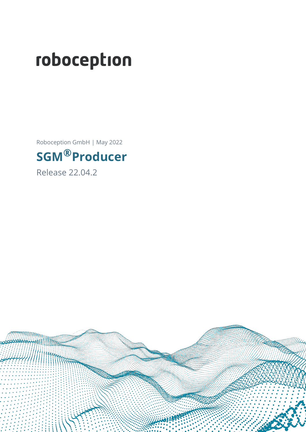# roboception

Roboception GmbH | May 2022

## **SGM®Producer**

Release 22.04.2

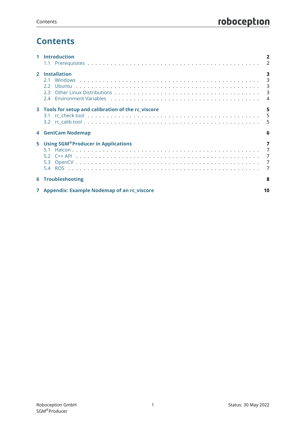## **Contents**

|                | <b>Introduction</b>                                      |                                                                           |
|----------------|----------------------------------------------------------|---------------------------------------------------------------------------|
|                |                                                          | $\overline{2}$                                                            |
| $\overline{2}$ | <b>Installation</b><br>21<br>22<br>23                    | 3<br>3                                                                    |
|                | 24                                                       | $\boldsymbol{\Lambda}$                                                    |
| 3              | Tools for setup and calibration of the rc_viscore<br>3.1 | 5<br>5<br>5                                                               |
|                |                                                          |                                                                           |
|                | <b>4 GenICam Nodemap</b>                                 | 6                                                                         |
| 5              | <b>Using SGM®Producer in Applications</b><br>51          | 7<br>$\overline{7}$<br>$\overline{7}$<br>$\overline{7}$<br>$\overline{7}$ |
|                | <b>6 Troubleshooting</b>                                 | 8                                                                         |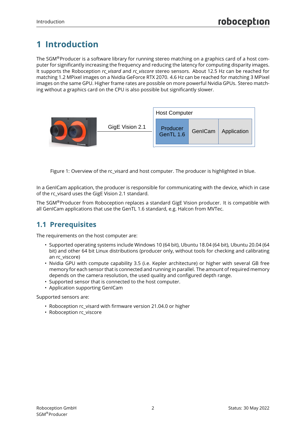## <span id="page-2-0"></span>**1 Introduction**

The SGM®Producer is a software library for running stereo matching on a graphics card of a host computer for significantly increasing the frequency and reducing the latency for computing disparity images. It supports the Roboception *rc\_visard* and *rc\_viscore* stereo sensors. About 12.5 Hz can be reached for matching 1.2 MPixel images on a Nvidia GeForce RTX 2070. 4.6 Hz can be reached for matching 3 MPixel images on the same GPU. Higher frame rates are possible on more powerful Nvidia GPUs. Stereo matching without a graphics card on the CPU is also possible but significantly slower.



Figure 1: Overview of the rc\_visard and host computer. The producer is highlighted in blue.

In a GenICam application, the producer is responsible for communicating with the device, which in case of the rc\_visard uses the GigE Vision 2.1 standard.

The SGM®Producer from Roboception replaces a standard GigE Vision producer. It is compatible with all GenICam applications that use the GenTL 1.6 standard, e.g. Halcon from MVTec.

#### <span id="page-2-1"></span>**1.1 Prerequisites**

The requirements on the host computer are:

- Supported operating systems include Windows 10 (64 bit), Ubuntu 18.04 (64 bit), Ubuntu 20.04 (64 bit) and other 64 bit Linux distributions (producer only, without tools for checking and calibrating an rc\_viscore)
- Nvidia GPU with compute capability 3.5 (i.e. Kepler architecture) or higher with several GB free memory for each sensor that is connected and running in parallel. The amount of required memory depends on the camera resolution, the used quality and configured depth range.
- Supported sensor that is connected to the host computer.
- Application supporting GenICam

Supported sensors are:

- Roboception rc\_visard with firmware version 21.04.0 or higher
- Roboception rc\_viscore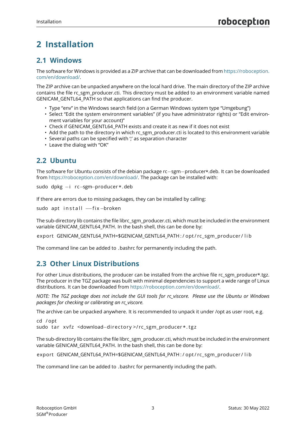## <span id="page-3-0"></span>**2 Installation**

#### <span id="page-3-1"></span>**2.1 Windows**

The software for Windows is provided as a ZIP archive that can be downloaded from [https://roboception.](https://roboception.com/en/download/) [com/en/download/.](https://roboception.com/en/download/)

The ZIP archive can be unpacked anywhere on the local hard drive. The main directory of the ZIP archive contains the file rc\_sgm\_producer.cti. This directory must be added to an environment variable named GENICAM\_GENTL64\_PATH so that applications can find the producer.

- Type "env" in the Windows search field (on a German Windows system type "Umgebung")
- Select "Edit the system environment variables" (if you have administrator rights) or "Edit environment variables for your account)"
- Check if GENICAM\_GENTL64\_PATH exists and create it as new if it does not exist
- Add the path to the directory in which rc\_sgm\_producer.cti is located to this environment variable
- Several paths can be specified with " as separation character
- Leave the dialog with "OK"

#### <span id="page-3-2"></span>**2.2 Ubuntu**

The software for Ubuntu consists of the debian package rc−sgm−producer\*.deb. It can be downloaded from [https://roboception.com/en/download/.](https://roboception.com/en/download/) The package can be installed with:

```
sudo dpkg −i rc−sgm−producer *. deb
```
If there are errors due to missing packages, they can be installed by calling:

```
sudo apt install --fix -broken
```
The sub-directory lib contains the file librc\_sgm\_producer.cti, which must be included in the environment variable GENICAM\_GENTL64\_PATH. In the bash shell, this can be done by:

export GENICAM GENTL64 PATH=\$GENICAM GENTL64 PATH : / opt / rc\_sgm\_producer / lib

<span id="page-3-3"></span>The command line can be added to .bashrc for permanently including the path.

#### **2.3 Other Linux Distributions**

For other Linux distributions, the producer can be installed from the archive file rc\_sgm\_producer\*.tgz. The producer in the TGZ package was built with minimal dependencies to support a wide range of Linux distributions. It can be downloaded from [https://roboception.com/en/download/.](https://roboception.com/en/download/)

*NOTE: The TGZ package does not include the GUI tools for rc\_viscore. Please use the Ubuntu or Windows packages for checking or calibrating an rc\_viscore.*

The archive can be unpacked anywhere. It is recommended to unpack it under /opt as user root, e.g.

cd / opt sudo tar xvfz <download-directory >/rc sgm\_producer \*. tgz

The sub-directory lib contains the file librc\_sgm\_producer.cti, which must be included in the environment variable GENICAM\_GENTL64\_PATH. In the bash shell, this can be done by:

export GENICAM\_GENTL64\_PATH=\$GENICAM\_GENTL64\_PATH : / opt / rc\_sgm\_producer / l i b

<span id="page-3-4"></span>The command line can be added to .bashrc for permanently including the path.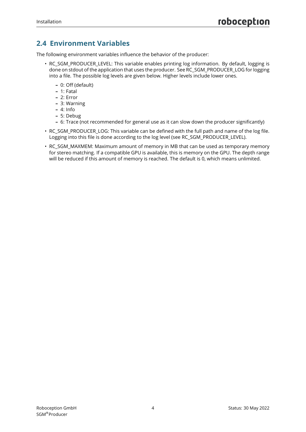#### **2.4 Environment Variables**

The following environment variables influence the behavior of the producer:

- RC\_SGM\_PRODUCER\_LEVEL: This variable enables printing log information. By default, logging is done on stdout of the application that uses the producer. See RC\_SGM\_PRODUCER\_LOG for logging into a file. The possible log levels are given below. Higher levels include lower ones.
	- **–** 0: Off (default)
	- **–** 1: Fatal
	- **–** 2: Error
	- **–** 3: Warning
	- **–** 4: Info
	- **–** 5: Debug
	- **–** 6: Trace (not recommended for general use as it can slow down the producer significantly)
- RC\_SGM\_PRODUCER\_LOG: This variable can be defined with the full path and name of the log file. Logging into this file is done according to the log level (see RC\_SGM\_PRODUCER\_LEVEL).
- RC\_SGM\_MAXMEM: Maximum amount of memory in MB that can be used as temporary memory for stereo matching. If a compatible GPU is available, this is memory on the GPU. The depth range will be reduced if this amount of memory is reached. The default is 0, which means unlimited.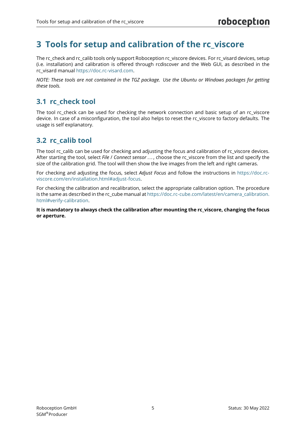## <span id="page-5-0"></span>**3 Tools for setup and calibration of the rc\_viscore**

The rc\_check and rc\_calib tools only support Roboception rc\_viscore devices. For rc\_visard devices, setup (i.e. installation) and calibration is offered through rcdiscover and the Web GUI, as described in the rc\_visard manual [https://doc.rc-visard.com.](https://doc.rc-visard.com)

*NOTE: These tools are not contained in the TGZ package. Use the Ubuntu or Windows packages for getting these tools.*

#### <span id="page-5-1"></span>**3.1 rc\_check tool**

The tool rc\_check can be used for checking the network connection and basic setup of an rc\_viscore device. In case of a misconfiguration, the tool also helps to reset the rc\_viscore to factory defaults. The usage is self explanatory.

#### <span id="page-5-2"></span>**3.2 rc\_calib tool**

The tool rc\_calib can be used for checking and adjusting the focus and calibration of rc\_viscore devices. After starting the tool, select *File* / *Connect sensor . . .* , choose the rc\_viscore from the list and specify the size of the calibration grid. The tool will then show the live images from the left and right cameras.

For checking and adjusting the focus, select *Adjust Focus* and follow the instructions in [https://doc.rc](https://doc.rc-viscore.com/en/installation.html#adjust-focus)[viscore.com/en/installation.html#adjust-focus.](https://doc.rc-viscore.com/en/installation.html#adjust-focus)

For checking the calibration and recalibration, select the appropriate calibration option. The procedure is the same as described in the rc\_cube manual at [https://doc.rc-cube.com/latest/en/camera\\_calibration.](https://doc.rc-cube.com/latest/en/camera_calibration.html#verify-calibration) [html#verify-calibration.](https://doc.rc-cube.com/latest/en/camera_calibration.html#verify-calibration)

**It is mandatory to always check the calibration after mounting the rc\_viscore, changing the focus or aperture.**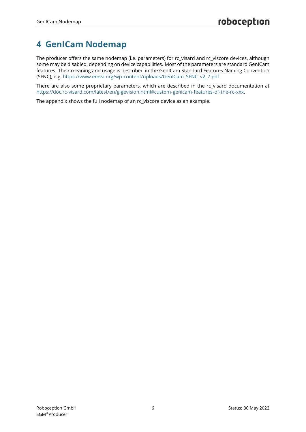## <span id="page-6-0"></span>**4 GenICam Nodemap**

The producer offers the same nodemap (i.e. parameters) for rc\_visard and rc\_viscore devices, although some may be disabled, depending on device capabilities. Most of the parameters are standard GenICam features. Their meaning and usage is described in the GenICam Standard Features Naming Convention (SFNC), e.g. [https://www.emva.org/wp-content/uploads/GenICam\\_SFNC\\_v2\\_7.pdf.](https://www.emva.org/wp-content/uploads/GenICam_SFNC_v2_7.pdf)

There are also some proprietary parameters, which are described in the rc\_visard documentation at [https://doc.rc-visard.com/latest/en/gigevision.html#custom-genicam-features-of-the-rc-xxx.](https://doc.rc-visard.com/latest/en/gigevision.html#custom-genicam-features-of-the-rc-xxx)

The appendix shows the full nodemap of an rc\_viscore device as an example.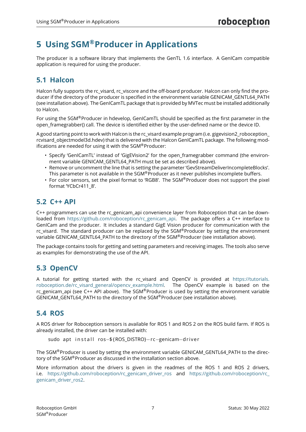## <span id="page-7-0"></span>**5 Using SGM®Producer in Applications**

The producer is a software library that implements the GenTL 1.6 interface. A GenICam compatible application is required for using the producer.

#### <span id="page-7-1"></span>**5.1 Halcon**

Halcon fully supports the rc\_visard, rc\_viscore and the off-board producer. Halcon can only find the producer if the directory of the producer is specified in the environment variable GENICAM\_GENTL64\_PATH (see installation above). The GenICamTL package that is provided by MVTec must be installed additionally to Halcon.

For using the SGM®Producer in hdevelop, GenICamTL should be specified as the first parameter in the open\_framegrabber() call. The device is identified either by the user-defined name or the device ID.

A good starting point to work with Halcon is the rc\_visard example program (i.e. gigevision2\_roboception\_ rcvisard\_objectmodel3d.hdev) that is delivered with the Halcon GenICamTL package. The following modifications are needed for using it with the SGM®Producer:

- Specify 'GenICamTL' instead of 'GigEVision2' for the open framegrabber command (the environment variable GENICAM\_GENTL64\_PATH must be set as described above).
- Remove or uncomment the line that is setting the parameter 'GevStreamDeliverIncompleteBlocks'. This parameter is not available in the SGM® Producer as it never publishes incomplete buffers.
- For color sensors, set the pixel format to 'RGB8'. The  $SGM^{\circledR}$ Producer does not support the pixel format 'YCbCr411\_8'.

#### <span id="page-7-2"></span>**5.2 C++ API**

C++ programmers can use the rc\_genicam\_api convenience layer from Roboception that can be downloaded from [https://github.com/roboception/rc\\_genicam\\_api.](https://github.com/roboception/rc_genicam_api) The package offers a C++ interface to GenICam and the producer. It includes a standard GigE Vision producer for communication with the rc visard. The standard producer can be replaced by the SGM®Producer by setting the environment variable GENICAM\_GENTL64\_PATH to the directory of the SGM®Producer (see installation above).

The package contains tools for getting and setting parameters and receiving images. The tools also serve as examples for demonstrating the use of the API.

#### <span id="page-7-3"></span>**5.3 OpenCV**

A tutorial for getting started with the rc\_visard and OpenCV is provided at [https://tutorials.](https://tutorials.roboception.de/rc_visard_general/opencv_example.html) [roboception.de/rc\\_visard\\_general/opencv\\_example.html.](https://tutorials.roboception.de/rc_visard_general/opencv_example.html) The OpenCV example is based on the rc\_genicam\_api (see C++ API above). The SGM®Producer is used by setting the environment variable GENICAM\_GENTL64\_PATH to the directory of the SGM®Producer (see installation above).

#### <span id="page-7-4"></span>**5.4 ROS**

A ROS driver for Roboception sensors is available for ROS 1 and ROS 2 on the ROS build farm. If ROS is already installed, the driver can be installed with:

```
sudo apt in stall ros-${ROS_DISTRO}-rc-genicam-driver
```
The SGM®Producer is used by setting the environment variable GENICAM\_GENTL64\_PATH to the directory of the SGM®Producer as discussed in the installation section above.

More information about the drivers is given in the readmes of the ROS 1 and ROS 2 drivers, i.e. [https://github.com/roboception/rc\\_genicam\\_driver\\_ros](https://github.com/roboception/rc_genicam_driver_ros) and https://github.com/roboception/rc [genicam\\_driver\\_ros2.](https://github.com/roboception/rc_genicam_driver_ros2)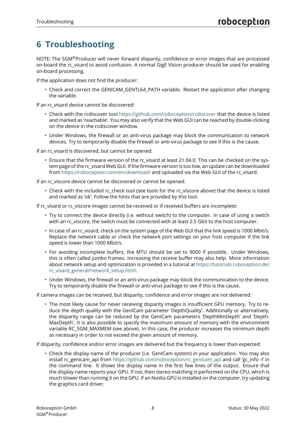## <span id="page-8-0"></span>**6 Troubleshooting**

NOTE: The SGM®Producer will never forward disparity, confidence or error images that are processed on-board the rc\_visard to avoid confusion. A normal GigE Vision producer should be used for enabling on-board processing.

If the application does not find the producer:

• Check and correct the GENICAM\_GENTL64\_PATH variable. Restart the application after changing the variable.

If an rc\_visard device cannot be discovered:

- Check with the rcdiscover tool <https://github.com/roboception/rcdiscover> that the device is listed and marked as 'reachable'. You may also verify that the Web GUI can be reached by double-clicking on the device in the rcdiscover window.
- Under Windows, the firewall or an anti-virus package may block the communication to network devices. Try to temporarily disable the firewall or anti-virus package to see if this is the cause.

If an rc\_visard is discovered, but cannot be opened:

• Ensure that the firmware version of the rc\_visard at least 21.04.0. This can be checked on the system page of the rc\_visard Web GUI. If the firmware version is too low, an update can be downloaded from <https://roboception.com/en/download/> and uploaded via the Web GUI of the rc\_visard.

If an rc\_viscore device cannot be discovered or cannot be opened:

• Check with the included rc\_check tool (see tools for the rc\_viscore above) that the device is listed and marked as 'ok'. Follow the hints that are provided by this tool.

If rc\_visard or rc\_viscore images cannot be received or if received buffers are incomplete:

- Try to connect the device directly (i.e. without switch) to the computer. In case of using a switch with an rc viscore, the switch must be connected with at least 2.5 Gbit to the host computer.
- In case of an rc\_visard, check on the system page of the Web GUI that the link speed is 1000 Mbit/s. Replace the network cable or check the network port settings on your host computer if the link speed is lower than 1000 Mbit/s.
- For avoiding incomplete buffers, the MTU should be set to 9000 if possible. Under Windows, this is often called jumbo frames. Increasing the receive buffer may also help. More information about network setup and optimization is provided in a tutorial at [https://tutorials.roboception.de/](https://tutorials.roboception.de/rc_visard_general/network_setup.html) [rc\\_visard\\_general/network\\_setup.html.](https://tutorials.roboception.de/rc_visard_general/network_setup.html)
- Under Windows, the firewall or an anti-virus package may block the communication to the device. Try to temporarily disable the firewall or anti-virus package to see if this is the cause.

If camera images can be received, but disparity, confidence and error images are not delivered:

• The most likely cause for never receiving disparity images is insufficient GPU memory. Try to reduce the depth quality with the GenICam parameter 'DepthQuality'. Additionally or alternatively, the disparity range can be reduced by the GenICam parameters 'DepthMinDepth' and 'Depth-MaxDepth'. It is also possible to specify the maximum amount of memory with the environment variable RC\_SGM\_MAXMEM (see above). In this case, the producer increases the minimum depth as necessary in order to not exceed the given amount of memory.

If disparity, confidence and/or error images are delivered but the frequency is lower than expected:

• Check the display name of the producer (i.e. GenICam system) in your application. You may also install rc\_genicam\_api from [https://github.com/roboception/rc\\_genicam\\_api](https://github.com/roboception/rc_genicam_api) and call 'gc\_info -l' in the command line. It shows the display name in the first few lines of the output. Ensure that the display name reports your GPU. If not, then stereo matching is performed on the CPU, which is much slower than running it on the GPU. If an Nvidia GPU is installed on the computer, try updating the graphics card driver.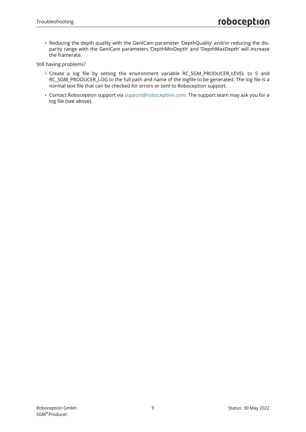• Reducing the depth quality with the GenICam parameter 'DepthQuality' and/or reducing the disparity range with the GenICam parameters 'DepthMinDepth' and 'DepthMaxDepth' will increase the framerate.

Still having problems?

- Create a log file by setting the environment variable RC\_SGM\_PRODUCER\_LEVEL to 5 and RC\_SGM\_PRODUCER\_LOG to the full path and name of the logfile to be generated. The log file is a normal text file that can be checked for errors or sent to Roboception support.
- Contact Roboception support via [support@roboception.com.](mailto:support@roboception.com) The support team may ask you for a log file (see above).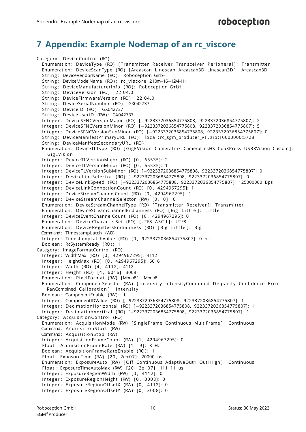### <span id="page-10-0"></span>**7 Appendix: Example Nodemap of an rc\_viscore**

```
Category: DeviceControl (RO)
  Enumeration: DeviceType (RO) [Transmitter Receiver Transceiver Peripheral]: Transmitter
  Enumeration: DeviceScanType (RO) [Areascan Linescan Areascan3D Linescan3D]: Areascan3D
  String: DeviceVendorName (RO): Roboception GmbH
  String: DeviceModelName (RO): rc_viscore 210m-16-12M-H1
  String: DeviceManufacturerInfo (RO): Roboception GmbH
  String: DeviceVersion (RO): 22.04.0
  String: DeviceFirmwareVersion (RO): 22.04.0
  String: DeviceSerialNumber (RO): GX042737
  String: DeviceID (RO): GX042737
  String: DeviceUserID (RW): GX042737
  In tege r : DeviceSFNCVersionMajor (RO) [−9223372036854775808, 9223372036854775807]: 2
  In tege r : DeviceSFNCVersionMinor (RO) [−9223372036854775808, 9223372036854775807]: 5
  In tege r : DeviceSFNCVersionSubMinor (RO) [−9223372036854775808, 9223372036854775807]: 0
  String: DeviceManifestPrimaryURL (RO): local:rc_sgm_producer_v1.zip;10000000;5728
  String: DeviceManifestSecondaryURL (RO):
  Enumeration: DeviceTLType (RO) [GigEVision CameraLink CameraLinkHS CoaXPress USB3Vision Custom]:
    GigEVision
  Integer: DeviceTLVersionMajor (RO) [0, 65535]: 2
  Integer: DeviceTLVersionMinor (RO) [0, 65535]: 1
  In tege r : DeviceTLVersionSubMinor (RO) [−9223372036854775808, 9223372036854775807]: 0
  In tege r : De vice Lin kSelec to r (RO) [−9223372036854775808, 9223372036854775807]: 0
  In tege r : DeviceLinkSpeed (RO) [−9223372036854775808, 9223372036854775807]: 125000000 Bps
  Integer: DeviceLinkConnectionCount (RO) [0, 4294967295]: 1
  Integer: DeviceStreamChannelCount (RO) [0, 4294967295]: 1
  Integer: DeviceStreamChannelSelector (RW) [0, 0]: 0
  Enumeration: DeviceStreamChannelType (RO) [Transmitter Receiver]: Transmitter
  Enumeration: DeviceStreamChannelEndianness (RO) [Big Little]: Little
  Integer: DeviceEventChannelCount (RO) [0, 4294967295]: 0
  Enumeration: DeviceCharacterSet (RO) [UTF8 ASCII]: UTF8
 Enumeration: DeviceRegistersEndianness (RO) [Big Little]: Big
 Command: TimestampLatch (WO)
  In tege r : TimestampLatchValue (RO) [ 0 , 9223372036854775807]: 0 ns
  Boolean: RcSystemReady (RO): 1
Category : ImageFormatControl (RO)
  In tege r : WidthMax (RO) [ 0 , 4294967295]: 4112
  In tege r : HeightMax (RO) [ 0 , 4294967295]: 6016
  Integer: Width (RO) [4, 4112]: 4112
  Integer: Height (RO) [4, 6016]: 3008
  Enumeration: PixelFormat (RW) [Mono8]: Mono8
  Enumeration: ComponentSelector (RW) [Intensity IntensityCombined Disparity Confidence Error
    RawCombined Calibration ]: Intensity
  Boolean: ComponentEnable (RW): 1
  In tege r : ComponentIDValue (RO) [−9223372036854775808, 9223372036854775807]: 1
  In tege r : DecimationHorizontal (RO) [−9223372036854775808, 9223372036854775807]: 1
  Integer: DecimationVertical (RO) [-9223372036854775808, 9223372036854775807]: 1
Category: AcquisitionControl (RO)
 Enumeration: AcquisitionMode (RW) [SingleFrame Continuous MultiFrame]: Continuous
 Command: Acquisition Start (RW)
 Command: AcquisitionStop (RW)
  Integer: AcquisitionFrameCount (RW) [1, 4294967295]: 0
  Float: AcquisitionFrameRate (RW) [1, 9]: 8 Hz
  Boolean: AcquisitionFrameRateEnable (RO): 1
  Float: ExposureTime (RW) [20, 2e+07]: 20000 us
  Enumeration: ExposureAuto (RW) [Off Continuous AdaptiveOut1 Out1High]: Continuous
  Float: ExposureTimeAutoMax (RW) [20, 2e+07]: 111111 us
  Integer: ExposureRegionWidth (RW) [0, 4112]: 0
  Integer: ExposureRegionHeight (RW) [0, 3008]: 0
  Integer: ExposureRegionOffsetX (RW) [0, 4112]: 0
  Integer: ExposureRegionOffsetY (RW) [0, 3008]: 0
```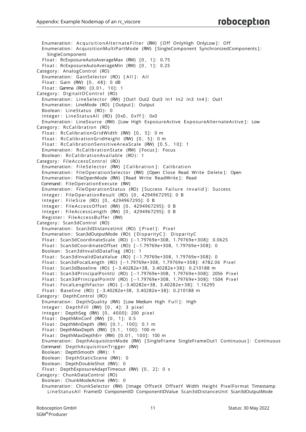Enumeration: AcquisitionAlternateFilter (RW) [Off OnlyHigh OnlyLow]: Off Enumeration: AcquisitionMultiPartMode (RW) [SingleComponent SynchronizedComponents]: SingleComponent Float: RcExposureAutoAverageMax (RW) [0, 1]: 0.75 Float: RcExposureAutoAverageMin (RW) [0, 1]: 0.25 Category: AnalogControl (RO) Enumeration: GainSelector (RO) [All ]: All Float: Gain (RW) [0, 48]: 0 dB Float: Gamma (RW) [0.01, 10]: 1 Category: DigitalIO Control (RO) Enumeration: Line Selector (RW) [Out1 Out2 Out3 In1 In2 In3 In41: Out1 Enumeration: LineMode (RO) [Output]: Output Boolean: LineStatus (RO): 0 Integer: LineStatusAll (RO) [0x0, 0xff]: 0x0 Enumeration: LineSource (RW) [Low High ExposureActive ExposureAlternateActive]: Low Category: RcCalibration (RO) Float: RcCalibrationGridWidth (RW) [0, 5]: 0 m Float: RcCalibrationGridHeight (RW) [0, 5]: 0 m Float: RcCalibration Sensitive Area Scale (RW) [0.5, 10]: 1 Enumeration: RcCalibration State (RW) [Focus]: Focus Boolean: RcCalibrationAvailable (RO): 1 Category: FileAccessControl (RO) Enumeration: FileSelector (RW) [Calibration]: Calibration Enumeration: FileOperationSelector (RW) [Open Close Read Write Delete]: Open Enumeration: FileOpenMode (RW) [Read Write ReadWrite]: Read Command: FileOperationExecute (RW) Enumeration: FileOperationStatus (RO) [Success Failure Invalid]: Success Integer: FileOperationResult (RO) [0, 4294967295]: 0 B Integer: FileSize (RO) [0, 4294967295]: 0 B Integer: FileAccessOffset (RW) [0, 4294967295]: 0 B Integer: FileAccessLength (RW) [0, 4294967295]: 0 B Register: FileAccessBuffer (RW) Category: Scan3dControl (RO) Enumeration: Scan3dDistanceUnit (RO) [Pixel]: Pixel Enumeration: Scan3dOutputMode (RO) [DisparityC]: DisparityC Float: Scan3dCoordinateScale (RO) [-1.79769e+308, 1.79769e+308]: 0.0625 Float: Scan3dCoordinateOffset (RO) [-1.79769e+308, 1.79769e+308]: 0 Boolean: Scan3dInvalidDataFlag (RO): 1 Float: Scan3dInvalidDataValue (RO) [-1.79769e+308, 1.79769e+308]: 0 Float: Scan3dFocalLength (RO) [-1.79769e+308, 1.79769e+308]: 4782.06 Pixel Float: Scan3dBaseline (RO) [-3.40282e+38, 3.40282e+38]: 0.210188 m Float: Scan3dPrincipalPointU (RO) [−1.79769e+308, 1.79769e+308]: 2056 Pixel Float: Scan3dPrincipalPointV (RO) [-1.79769e+308, 1.79769e+308]: 1504 Pixel Float: FocalLengthFactor (RO) [-3.40282e+38, 3.40282e+38]: 1.16295 Float: Baseline (RO) [-3.40282e+38, 3.40282e+38]: 0.210188 m Category: DepthControl (RO) Enumeration: DepthQuality (RW) [Low Medium High Full ]: High Integer: DepthFill (RW) [0, 4]: 3 pixel Integer: DepthSeg (RW) [0, 4000]: 200 pixel Float: DepthMinConf (RW) [0, 1]: 0.5 Float: DepthMinDepth (RW)  $[0.1, 100]$ : 0.1 m Float: DepthMaxDepth (RW) [0.1, 1001: 100 m Float: DepthMaxDepthErr (RW) [0.01, 1001: 100 m Enumeration: DepthAcquisitionMode (RW) [SingleFrame SingleFrameOut1 Continuous]: Continuous Command: DepthAcquisitionTrigger (RW) Boolean: DepthSmooth (RW): 1 Boolean: DepthStaticScene (RW): 0 Boolean: DepthDoubleShot (RW): 0 Float: DepthExposureAdaptTimeout (RW) [0, 2]: 0 s Category: ChunkDataControl (RO) Boolean: ChunkModeActive (RW): 0 Enumeration: ChunkSelector (RW) [Image OffsetX OffsetY Width Height PixelFormat Timestamp LineStatusAll FrameID ComponentID ComponentIDValue Scan3dDistanceUnit Scan3dOutputMode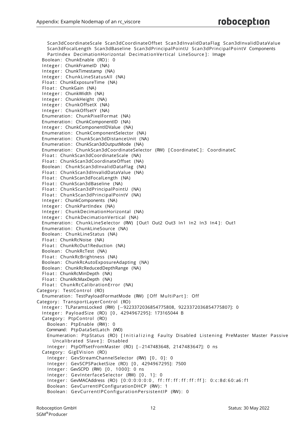Scan3dCoordinateScale Scan3dCoordinateOffset Scan3dInvalidDa taFlag Scan3dInvalidDataValue Scan3dFocalLength Scan3dBaseline Scan3dPrincipalPointU Scan3dPrincipalPointV Components PartIndex DecimationHorizontal DecimationVertical LineSource]: Image Boolean: ChunkEnable (RO): 0 Integer: ChunkFrameID (NA) Integer: ChunkTimestamp (NA) Integer: ChunkLineStatusAll (NA) Float: ChunkExposureTime (NA) Float: ChunkGain (NA) Integer: ChunkWidth (NA) Integer: ChunkHeight (NA) Integer: ChunkOffsetX (NA) Integer: ChunkOffsetY (NA) Enumeration : ChunkPixelFormat (NA) Enumeration : ChunkComponentID (NA) Integer: ChunkComponentIDValue (NA) Enumeration : ChunkComponentSelector (NA) Enumeration : ChunkScan3dDistanceUnit (NA) Enumeration : ChunkScan3dOutputMode (NA) Enumeration: ChunkScan3dCoordinateSelector (RW) [CoordinateC]: CoordinateC Float: ChunkScan3dCoordinateScale (NA) Float: ChunkScan3dCoordinateOffset (NA) Boolean : ChunkScan3dInvalidDataFlag (NA) Float: ChunkScan3dInvalidDataValue (NA) Float: ChunkScan3dFocalLength (NA) Float: ChunkScan3dBaseline (NA) Float: ChunkScan3dPrincipalPointU (NA) Float: ChunkScan3dPrincipalPointV (NA) Integer: ChunkComponents (NA) Integer: ChunkPartIndex (NA) Integer: ChunkDecimationHorizontal (NA) Integer: ChunkDecimationVertical (NA) Enumeration: ChunkLineSelector (RW) [Out1 Out2 Out3 In1 In2 In3 In41: Out1 Enumeration : ChunkLineSource (NA) Boolean : ChunkLineStatus (NA) Float: ChunkRcNoise (NA) Float: ChunkRcOut1Reduction (NA) Boolean : ChunkRcTest (NA) Float: ChunkRcBrightness (NA) Boolean : ChunkRcAutoExposureAdapting (NA) Boolean : ChunkRcReducedDepthRange (NA) Float: ChunkRcMinDepth (NA) Float: ChunkRcMaxDepth (NA) Float: ChunkRcCalibrationError (NA) Category: TestControl (RO) Enumeration: TestPayloadFormatMode (RW) [Off MultiPart]: Off Category: TransportLayerControl (RO) In tege r : TLParamsLocked (RW) [−9223372036854775808, 9223372036854775807]: 0 In tege r : PayloadSize (RO) [ 0 , 4294967295]: 173165044 B Category: PtpControl (RO) Boolean: PtpEnable (RW): 0 Command: PtpDataSetLatch (WO) Enumeration: PtpStatus (RO) [Initializing Faulty Disabled Listening PreMaster Master Passive Uncalibrated Slave ]: Disabled In tege r : PtpOffsetFromMaster (RO) [−2147483648, 2147483647]: 0 ns Category: GigEVision (RO) Integer: GevStreamChannelSelector (RW) [0, 0]: 0 In tege r : GevSCPSPacketSize (RO) [ 0 , 4294967295]: 7500 Integer: GevSCPD (RW) [0, 1000]: 0 ns Integer: GevInterfaceSelector (RW) [0, 1]: 0 Integer: GevMACAddress (RO) [0:0:0:0:0:0, ff:ff:ff:ff:ff:ff]: 0:c:8d:60:a6:f1 Boolean: GevCurrentIPConfigurationDHCP (RW): 1 Boolean: GevCurrentIPConfigurationPersistentIP (RW): 0